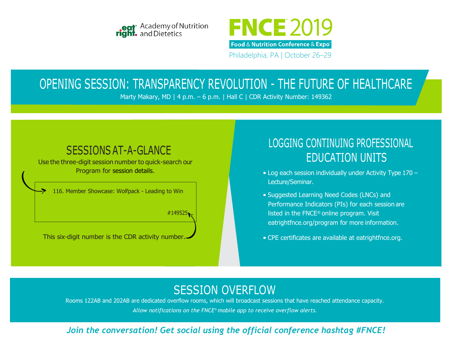



Philadelphia, PA | October 26–29

# OPENING SESSION: TRANSPARENCY REVOLUTION - THE FUTURE OF HEALTHCARE

Marty Makary, MD | 4 p.m. - 6 p.m. | Hall C | CDR Activity Number: 149362

## SESSIONS AT-A-GLANCE

Use the three-digit session number to quick-search our Program for session details.

116. Member Showcase: Wolfpack - Leading to Win

#149525

This six-digit number is the CDR activity number.

## LOGGING CONTINUING PROFESSIONAL EDUCATION UNITS

- Log each session individually under Activity Type 170 Lecture/Seminar.
- Suggested Learning Need Codes (LNCs) and Performance Indicators (PIs) for each session are listed in the FNCE® online program. Visit eatrightfnce.org/program for more information.
- CPE certificates are available at eatrightfnce.org.

## SESSION OVERFLOW

Rooms 122AB and 202AB are dedicated overflow rooms, which will broadcast sessions that have reached attendance capacity. *Allow notifications on the FNCE® mobile app to receive overflow alerts.*

### *Join the conversation! Get social using the official conference hashtag #FNCE!*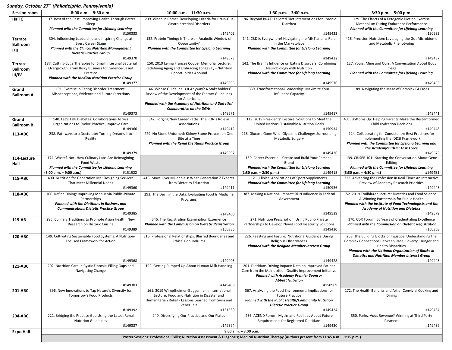#### *Sunday, October 27 th (Philadelphia, Pennsylvania)*

| <b>Session room</b> | $8:00$ a.m. $-9:30$ a.m.                                                                                                                        | 10:00 a.m. - 11:30 a.m.                                                                   | $1:30$ p.m. $-3:00$ p.m.                                                      | $3:30$ p.m. $-5:00$ p.m.                                                                               |  |  |
|---------------------|-------------------------------------------------------------------------------------------------------------------------------------------------|-------------------------------------------------------------------------------------------|-------------------------------------------------------------------------------|--------------------------------------------------------------------------------------------------------|--|--|
| Hall C              | 137. Best of the Rest: Improving Health Through Better<br>Sleep                                                                                 | 209. When in Rome: Developing Criteria for Brain-Gut<br><b>Gastrointestinal Disorders</b> | 186. Beyond BRAT: Tailored Diet Interventions for Chronic<br>Diarrhea         | 129. The Effects of a Ketogenic Diet on Exercise<br>Metabolism During Endurance Performance            |  |  |
|                     | Planned with the Committee for Lifelong Learning                                                                                                |                                                                                           |                                                                               | Planned with the Committee for Lifelong Learning                                                       |  |  |
|                     | #150333                                                                                                                                         | #149402                                                                                   | #149422                                                                       | #150932                                                                                                |  |  |
| Terrace             | 304. Influencing Leadership and Inspiring Change at<br><b>Every Career Stage</b>                                                                | 132. Protein Timing: Is There an Anabolic Window of<br>Opportunity?                       | 141. CBD Is Everywhere! Navigating the MNT and Its Role<br>in the Marketplace | 416. Precision Nutrition: Leveraging the Gut Microbiome<br>and Metabolic Phenotyping                   |  |  |
| <b>Ballroom</b>     | <b>Planned with the Clinical Nutrition Management</b>                                                                                           | Planned with the Committee for Lifelong Learning                                          | Planned with the Committee for Lifelong Learning                              |                                                                                                        |  |  |
| I/II                | <b>Dietetic Practice Group</b>                                                                                                                  |                                                                                           |                                                                               |                                                                                                        |  |  |
|                     | #149370                                                                                                                                         | #149573                                                                                   | #149432                                                                       | #149437                                                                                                |  |  |
| <b>Terrace</b>      | 187. Cutting-Edge Therapies for Small Intestinal Bacterial                                                                                      | 150. 2019 Lenna Frances Cooper Memorial Lecture:                                          | 142. The Brain's Influence on Eating Disorders: Combining                     | 127. Yours, Mine and Ours: A Conversation About Body                                                   |  |  |
| <b>Ballroom</b>     | Overgrowth: From Risky Business to Evidence-Based                                                                                               | Redefining Aging and Embracing Longevity - Nutrition                                      | Neurobiology with Nutrition                                                   | Image                                                                                                  |  |  |
| III/IV              | Practice                                                                                                                                        | <b>Opportunities Abound</b>                                                               | Planned with the Committee for Lifelong Learning                              | Planned with the Committee for Lifelong Learning                                                       |  |  |
|                     | <b>Planned with the Medical Nutrition Practice Group</b>                                                                                        |                                                                                           |                                                                               |                                                                                                        |  |  |
|                     | #149377                                                                                                                                         | #149396                                                                                   | #149576                                                                       | #149453                                                                                                |  |  |
| Grand               | 191. Exercise in Eating Disorder Treatment:                                                                                                     | 146. Whose Guideline Is It Anyway? A Stakeholders'                                        | 339. Transformational Leadership: Maximize Your                               | 189. Navigating the Maze of Complex GI Cases                                                           |  |  |
| <b>Ballroom A</b>   | Misconceptions, Evidence and Future Directions                                                                                                  | Review of the Development of the Dietary Guidelines<br>for Americans                      | Influence Capacity                                                            |                                                                                                        |  |  |
|                     |                                                                                                                                                 | Planned with the Academy of Nutrition and Dietetics'                                      |                                                                               |                                                                                                        |  |  |
|                     |                                                                                                                                                 | <b>Collaborative on the DGAs</b>                                                          |                                                                               |                                                                                                        |  |  |
|                     | #149373                                                                                                                                         | #149571                                                                                   | #149417                                                                       | #149441                                                                                                |  |  |
| Grand               | 140. Let's Talk Diabetes: Collaborations Across                                                                                                 | 342. Forging New Career Paths: The RDN's Role in                                          | 119. 2019 Presidents' Lecture: Solutions to Meet the                          | 401. Bottoms Up: Helping Parents Make the Best-Informed                                                |  |  |
| <b>Ballroom B</b>   | Organizations to Evolve Practice, Improve Care                                                                                                  | Associations                                                                              | United Nations Sustainable Nutrition Goals                                    | Child Hydration Decisions                                                                              |  |  |
|                     | #149366                                                                                                                                         | #149412                                                                                   | #150934                                                                       | #149448                                                                                                |  |  |
| 113-ABC             | 238. Pathways to a Doctorate: Turning Dreams into                                                                                               | 229. No Stone Unturned: Kidney Stone Prevention One                                       | 216. Glucose Gone Wild: Glycemic Challenges Surrounding                       | 124. Collaborating for Consistency: Best Practices for                                                 |  |  |
|                     | Reality                                                                                                                                         | Bite at a Time                                                                            | Metabolic Surgery                                                             | Implementing the IDDSI Framework                                                                       |  |  |
|                     |                                                                                                                                                 | <b>Planned with the Renal Dietitians Practice Group</b>                                   |                                                                               | Planned with the Committee for Lifelong Learning and                                                   |  |  |
|                     | #149379                                                                                                                                         |                                                                                           | #149426                                                                       | the Academy's IDDSI Task Force<br>#149673                                                              |  |  |
| 114-Lecture         | 174. Waste? Not! How Culinary Labs Are Reimagining                                                                                              | #149397                                                                                   | 130. Career Essential: Create and Build Your Personal                         | 139. CRISPR 101: Starting the Conversation About Gene                                                  |  |  |
| Hall                | Food Waste                                                                                                                                      |                                                                                           | Brand                                                                         | Editing                                                                                                |  |  |
|                     | Planned with the Committee for Lifelong Learning                                                                                                |                                                                                           | Planned with the Committee for Lifelong Learning                              | Planned with the Committee for Lifelong Learning                                                       |  |  |
|                     | (8:00 a.m. - 9:00 a.m.)<br>#151522                                                                                                              |                                                                                           | $(1:30 p.m. - 2:30 p.m.)$<br>#149415                                          | $(3:30 p.m. - 4:30 p.m.)$<br>#149451                                                                   |  |  |
| 115 ABC             | 400. Nutrition for Generation Me: Designing Services                                                                                            | 413. Move Over Millennials: What Generation Z Expects                                     | 121. Clinical Applications of Sport Supplements                               | 323. Advancing the Profession in Real Time: An Interactive                                             |  |  |
|                     | That Meet Millennial Needs                                                                                                                      | from Dietetics Education                                                                  | Planned with the Committee for Lifelong Learning                              | Preview of Academy Research Priorities                                                                 |  |  |
|                     | #149360                                                                                                                                         | #149411                                                                                   | #150936                                                                       | #149445                                                                                                |  |  |
| 118-ABC             | 166. Refine Dining: Improving Menus via Public-Private<br>Partnerships                                                                          | 293. The Devil in the Data: Evaluating Food Is Medicine                                   | 387. Making a National Impact: RDN Influence in Federal<br>Government         | 152. 2019 Trailblazer Lecture: Dietetics and Food Science -<br>A Winning Partnership for Public Health |  |  |
|                     | Planned with the Dietitians in Business and                                                                                                     | Programs                                                                                  |                                                                               | Planned with the Institute of Food Technologists and the                                               |  |  |
|                     | <b>Communications Dietetic Practice Group</b>                                                                                                   |                                                                                           |                                                                               | <b>Academy of Nutrition and Dietetics</b>                                                              |  |  |
|                     | #149385                                                                                                                                         | #149400                                                                                   | #149539                                                                       | #149579                                                                                                |  |  |
| 119 AB              | 285. Culinary Traditions to Promote Asian Health: New                                                                                           | 346. The Registration Examination Experience                                              | 271. Nutrition Prescription: Using Public-Private                             | 170. CDR Forum: 50 Years of Credentialing Excellence                                                   |  |  |
|                     | Research on Historic Cuisine                                                                                                                    | Planned with the Commission on Dietetic Registration                                      | Partnerships to Develop Novel Food Insecurity Solutions                       | Planned with the Commission on Dietetic Registration                                                   |  |  |
|                     | #149389                                                                                                                                         | #150336                                                                                   | #149420                                                                       | #150363                                                                                                |  |  |
| 120 ABC             | 149. Cultivating Sustainable Food Systems: A Nutrition-                                                                                         | 316. Professional Relationships: Blurred Boundaries and                                   | 226. Feasting and Fasting: Nutritional Guidance During                        | 268. The Building Blocks of Injustice: Understanding the                                               |  |  |
|                     | Focused Framework for Action                                                                                                                    | <b>Ethical Conundrums</b>                                                                 | Religious Observances                                                         | Complex Connections Between Race, Poverty, Hunger and                                                  |  |  |
|                     |                                                                                                                                                 |                                                                                           | Planned with the Religion Member Interest Group                               | <b>Health Disparities</b>                                                                              |  |  |
|                     |                                                                                                                                                 |                                                                                           |                                                                               | <b>Planned with the National Organization of Blacks in</b>                                             |  |  |
|                     | #149368                                                                                                                                         | #149405                                                                                   | #149428                                                                       | Dietetics and Nutrition Member Interest Group<br>#149443                                               |  |  |
| 121-ABC             | 202. Nutrition Care in Cystic Fibrosis: Filling Gaps and                                                                                        | 192. Getting Pumped Up About Human Milk Handling                                          | 201. Dietitians Driving Impact: Data on Improved Patient                      |                                                                                                        |  |  |
|                     | Navigating Change                                                                                                                               |                                                                                           | Care from the Malnutrition Quality Improvement Initiative                     |                                                                                                        |  |  |
|                     |                                                                                                                                                 |                                                                                           | <b>Planned with Academy Premier Sponsor</b>                                   |                                                                                                        |  |  |
|                     |                                                                                                                                                 |                                                                                           | <b>Abbott Nutrition</b>                                                       |                                                                                                        |  |  |
|                     | #149383                                                                                                                                         | #149409                                                                                   | #150969                                                                       |                                                                                                        |  |  |
| 201-ABC             | 396. New Innovations to Tap Nature's Diversity for                                                                                              | 161. 2019 Wimpfheimer-Guggenheim International                                            | 367. Analyzing the Food Environment: Implications for                         | 172. The Health Benefits and Art of Convivial Cooking and                                              |  |  |
|                     | Tomorrow's Food Products                                                                                                                        | Lecture: Food and Nutrition in Disaster and                                               | <b>Future Practice</b>                                                        | Dining                                                                                                 |  |  |
|                     |                                                                                                                                                 | Humanitarian Relief - Lessons Learned from Syria and<br>Venezuela                         | Planned with the Public Health/Community Nutrition                            |                                                                                                        |  |  |
|                     | #149392                                                                                                                                         | #151530                                                                                   | <b>Dietetic Practice Group</b><br>#149424                                     | #149434                                                                                                |  |  |
| 204-ABC             | 221. Bridging the Practice Gap Using the Latest Renal                                                                                           | 240. Diversifying Our Practice and Our Plates                                             | 256. ACEND Forum: Myths and Realities About Future                            | 350. Parlez-Vous Revenue? Winning at Third Party                                                       |  |  |
|                     | <b>Nutrition Guidelines</b>                                                                                                                     |                                                                                           | <b>Requirements for Registered Dietitians</b>                                 | Payment                                                                                                |  |  |
|                     | #149387                                                                                                                                         | #149394                                                                                   | #149430                                                                       | #149439                                                                                                |  |  |
| <b>Expo Hall</b>    | $9:00$ a.m. $-3:00$ p.m.                                                                                                                        |                                                                                           |                                                                               |                                                                                                        |  |  |
|                     | Poster Sessions: Professional Skills; Nutrition Assessment & Diagnosis; Medical Nutrition Therapy (Authors present from 11:45 a.m. - 1:15 p.m.) |                                                                                           |                                                                               |                                                                                                        |  |  |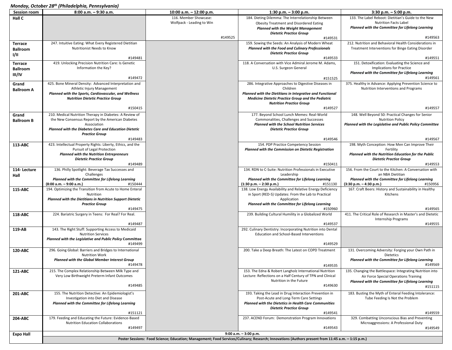### *Monday, October 28th (Philadelphia, Pennsylvania)*

| <b>Session room</b> | 8:00 a.m. - 9:30 a.m.                                                                                        | 10:00 a.m. - 12:00 p.m.   | 1:30 p.m. $-$ 3:00 p.m.                                                                                                                           | $3:30$ p.m. $-5:00$ p.m.                                                     |
|---------------------|--------------------------------------------------------------------------------------------------------------|---------------------------|---------------------------------------------------------------------------------------------------------------------------------------------------|------------------------------------------------------------------------------|
| Hall C              |                                                                                                              | 116. Member Showcase:     | 184. Dieting Dilemma: The Interrelationship Between                                                                                               | 133. The Label Reboot: Dietitian's Guide to the New                          |
|                     |                                                                                                              | Wolfpack - Leading to Win | Obesity Treatment and Disordered Eating                                                                                                           | <b>Nutrition Facts Label</b>                                                 |
|                     |                                                                                                              |                           | <b>Planned with the Weight Management</b>                                                                                                         | Planned with the Committee for Lifelong Learning                             |
|                     |                                                                                                              |                           | <b>Dietetic Practice Group</b>                                                                                                                    |                                                                              |
|                     |                                                                                                              | #149525                   | #149531                                                                                                                                           | #149563                                                                      |
| <b>Terrace</b>      | 247. Intuitive Eating: What Every Registered Dietitian                                                       |                           | 159. Sowing the Seeds: An Analysis of Modern Wheat                                                                                                | 212. Nutrition and Behavioral Health Considerations in                       |
| <b>Ballroom</b>     | Nutritionist Needs to Know                                                                                   |                           | <b>Planned with the Food and Culinary Professionals</b><br><b>Dietetic Practice Group</b>                                                         | Treatment Interventions for Binge Eating Disorder                            |
| I/II                | #149481                                                                                                      |                           | #149533                                                                                                                                           | #149551                                                                      |
| <b>Terrace</b>      | 419. Unlocking Precision Nutrition Care: Is Genetic                                                          |                           | 118. A Conversation with Vice Admiral Jerome M. Adams,                                                                                            | 151. Detoxification: Evaluating the Science and                              |
| <b>Ballroom</b>     | Information the Key?                                                                                         |                           | U.S. Surgeon General                                                                                                                              | <b>Implications for Practice</b>                                             |
| III/IV              |                                                                                                              |                           |                                                                                                                                                   | Planned with the Committee for Lifelong Learning                             |
|                     | #149472                                                                                                      |                           | #151525                                                                                                                                           | #149561                                                                      |
| Grand               | 425. Bone Mineral Density: Advanced Interpretation and                                                       |                           | 286. Integrative Approaches to Digestive Diseases in                                                                                              | 375. Healthy in Advance: Applying Prevention Science to                      |
| <b>Ballroom A</b>   | Athletic Injury Management                                                                                   |                           | Children                                                                                                                                          | Nutrition Interventions and Programs                                         |
|                     | Planned with the Sports, Cardiovascular, and Wellness                                                        |                           | Planned with the Dietitians in Integrative and Functional                                                                                         |                                                                              |
|                     | <b>Nutrition Dietetic Practice Group</b>                                                                     |                           | <b>Medicine Dietetic Practice Group and the Pediatric</b>                                                                                         |                                                                              |
|                     | #150415                                                                                                      |                           | <b>Nutrition Practice Group</b><br>#149527                                                                                                        | #149557                                                                      |
|                     |                                                                                                              |                           |                                                                                                                                                   |                                                                              |
| Grand               | 210. Medical Nutrition Therapy in Diabetes: A Review of<br>the New Consensus Report by the American Diabetes |                           | 177. Beyond School Lunch Memes: Real-World<br>Commonalities, Challenges and Successes                                                             | 148. Well Beyond 50: Practical Changes for Senior<br><b>Nutrition Policy</b> |
| <b>Ballroom B</b>   | Association                                                                                                  |                           | <b>Planned with the School Nutrition Services</b>                                                                                                 | Planned with the Legislative and Public Policy Committee                     |
|                     | Planned with the Diabetes Care and Education Dietetic                                                        |                           | <b>Dietetic Practice Group</b>                                                                                                                    |                                                                              |
|                     | <b>Practice Group</b>                                                                                        |                           |                                                                                                                                                   |                                                                              |
|                     | #149483                                                                                                      |                           | #149546                                                                                                                                           | #149567                                                                      |
| 113-ABC             | 423. Intellectual Property Rights: Liberty, Ethics, and the                                                  |                           | 154. PDP Practice Competency Session                                                                                                              | 198. Myth Conception: How Men Can Improve Their                              |
|                     | Pursuit of Legal Protection<br><b>Planned with the Nutrition Entrepreneurs</b>                               |                           | Planned with the Commission on Dietetic Registration                                                                                              | Fertility<br>Planned with the Nutrition Education for the Public             |
|                     | <b>Dietetic Practice Group</b>                                                                               |                           |                                                                                                                                                   | <b>Dietetic Practice Group</b>                                               |
|                     | #149489                                                                                                      |                           | #150411                                                                                                                                           | #149553                                                                      |
| 114-Lecture         | 136. Philly Spotlight: Beverage Tax Successes and                                                            |                           | 134. RDN to C-Suite: Nutrition Professionals in Executive                                                                                         | 156. From the Court to the Kitchen: A Conversation with                      |
| Hall                | Challenges                                                                                                   |                           | Leadership                                                                                                                                        | an NBA Dietitian                                                             |
|                     | Planned with the Committee for Lifelong Learning                                                             |                           | Planned with the Committee for Lifelong Learning                                                                                                  | Planned with the Committee for Lifelong Learning                             |
|                     | (8:00 a.m. - 9:00 a.m.)<br>#150444                                                                           |                           | $(1:30 p.m. - 2:30 p.m.)$<br>#151130                                                                                                              | #150956<br>(3:30 p.m. - 4:30 p.m.)                                           |
| 115-ABC             | 194. Optimizing the Transition from Acute to Home Enteral<br>Nutrition                                       |                           | 138. Low Energy Availability and Relative Energy Deficiency<br>in Sport (RED-S) Updates: From the Lab to Practical                                | 167. Craft Beers: History and Sustainability in Healthy<br>Kitchens          |
|                     | Planned with the Dietitians in Nutrition Support Dietetic                                                    |                           | Application                                                                                                                                       |                                                                              |
|                     | <b>Practice Group</b>                                                                                        |                           | Planned with the Committee for Lifelong Learning                                                                                                  |                                                                              |
|                     | #149475                                                                                                      |                           | #150960                                                                                                                                           | #149565                                                                      |
| 118-ABC             | 224. Bariatric Surgery in Teens: For Real? For Real.                                                         |                           | 239. Building Cultural Humility in a Globalized World                                                                                             | 411. The Critical Role of Research in Master's and Dietetic                  |
|                     |                                                                                                              |                           |                                                                                                                                                   | <b>Internship Programs</b>                                                   |
|                     | #149487                                                                                                      |                           | #149537                                                                                                                                           | #149555                                                                      |
| 119-AB              | 143. The Right Stuff: Supporting Access to Medicaid<br><b>Nutrition Services</b>                             |                           | 292. Culinary Dentistry: Incorporating Nutrition into Dental<br>Education and School-Based Interventions                                          |                                                                              |
|                     | Planned with the Legislative and Public Policy Committee                                                     |                           |                                                                                                                                                   |                                                                              |
|                     | #149499                                                                                                      |                           | #149529                                                                                                                                           |                                                                              |
| 120-ABC             | 296. Going Global: Barriers and Bridges to International                                                     |                           | 200. Take a Deep Breath: The Latest on COPD Treatment                                                                                             | 131. Overcoming Adversity: Forging your Own Path in                          |
|                     | <b>Nutrition Work</b>                                                                                        |                           |                                                                                                                                                   | <b>Dietetics</b>                                                             |
|                     | Planned with the Global Member Interest Group                                                                |                           |                                                                                                                                                   | Planned with the Committee for Lifelong Learning                             |
|                     | #149478                                                                                                      |                           | #149535                                                                                                                                           | #149569                                                                      |
| 121-ABC             | 215. The Complex Relationship Between Milk Type and                                                          |                           | 153. The Edna & Robert Langholz International Nutrition                                                                                           | 135. Changing the Battlespace: Integrating Nutrition into                    |
|                     | Very Low Birthweight Preterm Infant Outcomes                                                                 |                           | Lecture: Reflections on a Half Century of TPN and Clinical                                                                                        | Air Force Special Operations Training                                        |
|                     |                                                                                                              |                           | Nutrition in the Future                                                                                                                           | Planned with the Committee for Lifelong Learning                             |
|                     | #149485                                                                                                      |                           | #149630                                                                                                                                           | #151115                                                                      |
| 201-ABC             | 155. The Nutrition Detective: An Epidemiologist's                                                            |                           | 193. Taking the Lead in Drug Interaction Prevention in                                                                                            | 183. Busting the Myth of Enteral Feeding Intolerance:                        |
|                     | Investigation into Diet and Disease                                                                          |                           | Post-Acute and Long-Term Care Settings                                                                                                            | Tube Feeding Is Not the Problem                                              |
|                     | Planned with the Committee for Lifelong Learning                                                             |                           | <b>Planned with the Dietetics in Health Care Communities</b>                                                                                      |                                                                              |
|                     |                                                                                                              |                           | <b>Dietetic Practice Group</b>                                                                                                                    |                                                                              |
| 204-ABC             | #151121<br>179. Feeding and Educating the Future: Evidence-Based                                             |                           | #149541<br>237. ACEND Forum: Demonstration Program Innovations                                                                                    | #149559<br>329. Combatting Unconscious Bias and Preventing                   |
|                     | Nutrition Education Collaborations                                                                           |                           |                                                                                                                                                   | Microaggressions: A Professional Duty                                        |
|                     | #149497                                                                                                      |                           | #149543                                                                                                                                           | #149549                                                                      |
| <b>Expo Hall</b>    |                                                                                                              |                           | $9:00$ a.m. $-3:00$ p.m.                                                                                                                          |                                                                              |
|                     |                                                                                                              |                           | Poster Sessions: Food Science; Education; Management; Food Services/Culinary; Research; Innovations (Authors present from 11:45 a.m. - 1:15 p.m.) |                                                                              |